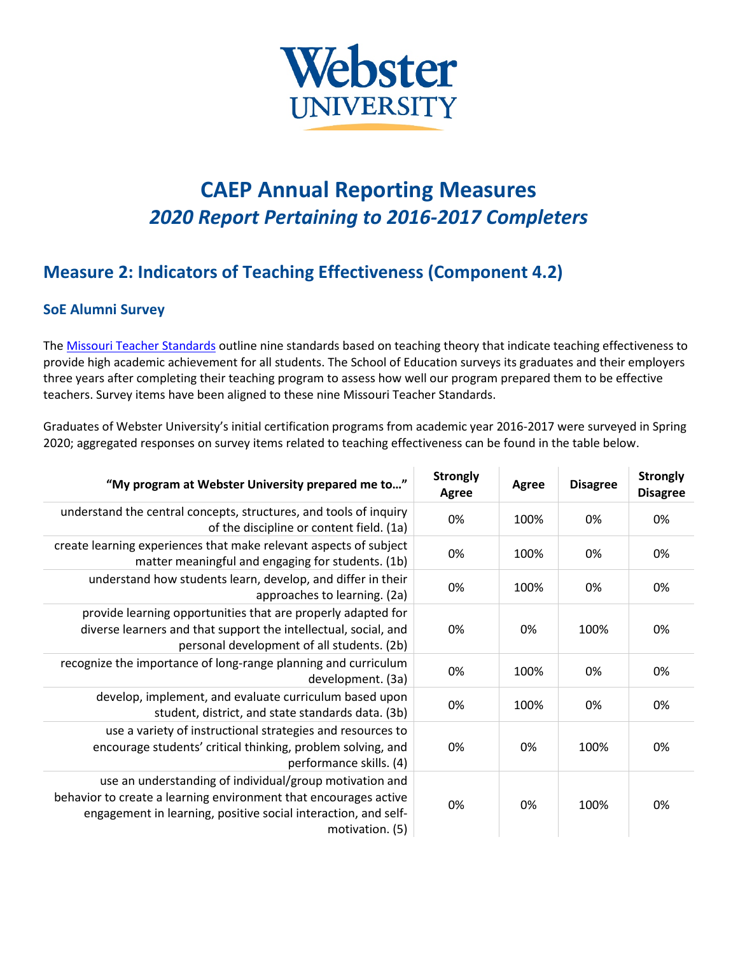

# **CAEP Annual Reporting Measures** *2020 Report Pertaining to 2016-2017 Completers*

## **Measure 2: Indicators of Teaching Effectiveness (Component 4.2)**

#### **SoE Alumni Survey**

The [Missouri Teacher Standards](https://dese.mo.gov/sites/default/files/TeacherStandards.pdf) outline nine standards based on teaching theory that indicate teaching effectiveness to provide high academic achievement for all students. The School of Education surveys its graduates and their employers three years after completing their teaching program to assess how well our program prepared them to be effective teachers. Survey items have been aligned to these nine Missouri Teacher Standards.

Graduates of Webster University's initial certification programs from academic year 2016-2017 were surveyed in Spring 2020; aggregated responses on survey items related to teaching effectiveness can be found in the table below.

| "My program at Webster University prepared me to"                                                                                                                                                                | <b>Strongly</b><br>Agree | Agree | <b>Disagree</b> | <b>Strongly</b><br><b>Disagree</b> |
|------------------------------------------------------------------------------------------------------------------------------------------------------------------------------------------------------------------|--------------------------|-------|-----------------|------------------------------------|
| understand the central concepts, structures, and tools of inquiry<br>of the discipline or content field. (1a)                                                                                                    | 0%                       | 100%  | 0%              | 0%                                 |
| create learning experiences that make relevant aspects of subject<br>matter meaningful and engaging for students. (1b)                                                                                           | 0%                       | 100%  | 0%              | 0%                                 |
| understand how students learn, develop, and differ in their<br>approaches to learning. (2a)                                                                                                                      | 0%                       | 100%  | 0%              | 0%                                 |
| provide learning opportunities that are properly adapted for<br>diverse learners and that support the intellectual, social, and<br>personal development of all students. (2b)                                    | 0%                       | 0%    | 100%            | 0%                                 |
| recognize the importance of long-range planning and curriculum<br>development. (3a)                                                                                                                              | 0%                       | 100%  | 0%              | 0%                                 |
| develop, implement, and evaluate curriculum based upon<br>student, district, and state standards data. (3b)                                                                                                      | 0%                       | 100%  | 0%              | 0%                                 |
| use a variety of instructional strategies and resources to<br>encourage students' critical thinking, problem solving, and<br>performance skills. (4)                                                             | 0%                       | 0%    | 100%            | 0%                                 |
| use an understanding of individual/group motivation and<br>behavior to create a learning environment that encourages active<br>engagement in learning, positive social interaction, and self-<br>motivation. (5) | 0%                       | 0%    | 100%            | 0%                                 |